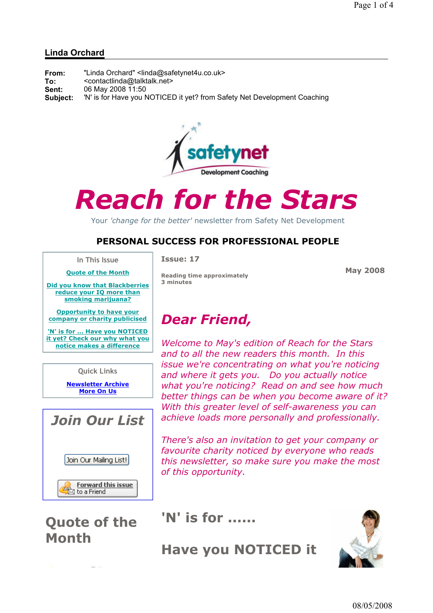### Linda Orchard

| From:        | "Linda Orchard" <linda@safetynet4u.co.uk></linda@safetynet4u.co.uk>           |
|--------------|-------------------------------------------------------------------------------|
| To:<br>Sent: | <contactlinda@talktalk.net><br/>06 May 2008 11:50</contactlinda@talktalk.net> |
| Subject:     | 'N' is for Have you NOTICED it yet? from Safety Net Development Coaching      |



# Reach for the Stars

Your 'change for the better' newsletter from Safety Net Development

### PERSONAL SUCCESS FOR PROFESSIONAL PEOPLE

In This Issue Quote of the Month

Issue: 17

May 2008

Did you know that Blackberries reduce your IQ more than smoking marijuana?

Opportunity to have your company or charity publicised

'N' is for ... Have you NOTICED it yet? Check our why what you notice makes a difference

Quick Links

Newsletter Archive More On Us



Quote of the Month

Reading time approximately 3 minutes

# Dear Friend,

Welcome to May's edition of Reach for the Stars and to all the new readers this month. In this issue we're concentrating on what you're noticing and where it gets you. Do you actually notice what you're noticing? Read on and see how much better things can be when you become aware of it? With this greater level of self-awareness you can achieve loads more personally and professionally.

There's also an invitation to get your company or favourite charity noticed by everyone who reads this newsletter, so make sure you make the most of this opportunity.

## 'N' is for ......

Have you NOTICED it

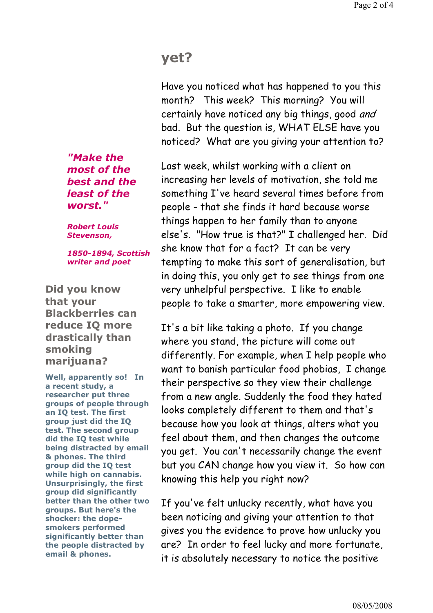## yet?

Have you noticed what has happened to you this month? This week? This morning? You will certainly have noticed any big things, good and bad. But the question is, WHAT ELSE have you noticed? What are you giving your attention to?

Last week, whilst working with a client on increasing her levels of motivation, she told me something I've heard several times before from people - that she finds it hard because worse things happen to her family than to anyone else's. "How true is that?" I challenged her. Did she know that for a fact? It can be very tempting to make this sort of generalisation, but in doing this, you only get to see things from one very unhelpful perspective. I like to enable people to take a smarter, more empowering view.

It's a bit like taking a photo. If you change where you stand, the picture will come out differently. For example, when I help people who want to banish particular food phobias, I change their perspective so they view their challenge from a new angle. Suddenly the food they hated looks completely different to them and that's because how you look at things, alters what you feel about them, and then changes the outcome you get. You can't necessarily change the event but you CAN change how you view it. So how can knowing this help you right now?

If you've felt unlucky recently, what have you been noticing and giving your attention to that gives you the evidence to prove how unlucky you are? In order to feel lucky and more fortunate, it is absolutely necessary to notice the positive

"Make the most of the best and the least of the worst."

Robert Louis Stevenson,

1850-1894, Scottish writer and poet

Did you know that your Blackberries can reduce IQ more drastically than smoking marijuana?

Well, apparently so! In a recent study, a researcher put three groups of people through an IQ test. The first group just did the IQ test. The second group did the IQ test while being distracted by email & phones. The third group did the IQ test while high on cannabis. Unsurprisingly, the first group did significantly better than the other two groups. But here's the shocker: the dopesmokers performed significantly better than the people distracted by email & phones.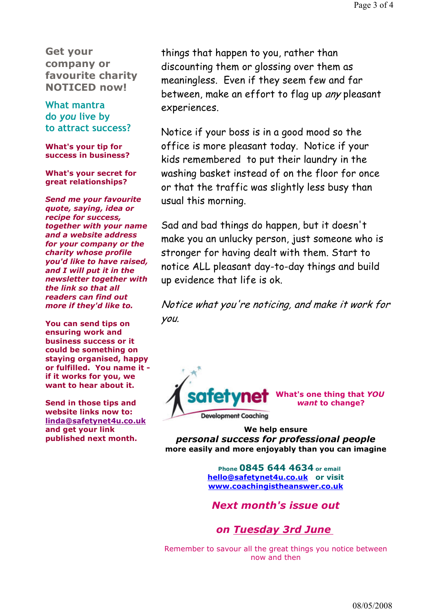Get your company or favourite charity NOTICED now!

What mantra do you live by to attract success?

What's your tip for success in business?

What's your secret for great relationships?

Send me your favourite quote, saying, idea or recipe for success, together with your name and a website address for your company or the charity whose profile you'd like to have raised, and I will put it in the newsletter together with the link so that all readers can find out more if they'd like to.

You can send tips on ensuring work and business success or it could be something on staying organised, happy or fulfilled. You name it if it works for you, we want to hear about it.

Send in those tips and website links now to: linda@safetynet4u.co.uk and get your link published next month.

things that happen to you, rather than discounting them or glossing over them as meaningless. Even if they seem few and far between, make an effort to flag up any pleasant experiences.

Notice if your boss is in a good mood so the office is more pleasant today. Notice if your kids remembered to put their laundry in the washing basket instead of on the floor for once or that the traffic was slightly less busy than usual this morning.

Sad and bad things do happen, but it doesn't make you an unlucky person, just someone who is stronger for having dealt with them. Start to notice ALL pleasant day-to-day things and build up evidence that life is ok.

Notice what you're noticing, and make it work for you.



s one thing that YOU want to change?

We help ensure personal success for professional people more easily and more enjoyably than you can imagine

> Phone 0845 644 4634 or email hello@safetynet4u.co.uk or visit www.coachingistheanswer.co.uk

Next month's issue out

on Tuesday 3rd June

Remember to savour all the great things you notice between now and then